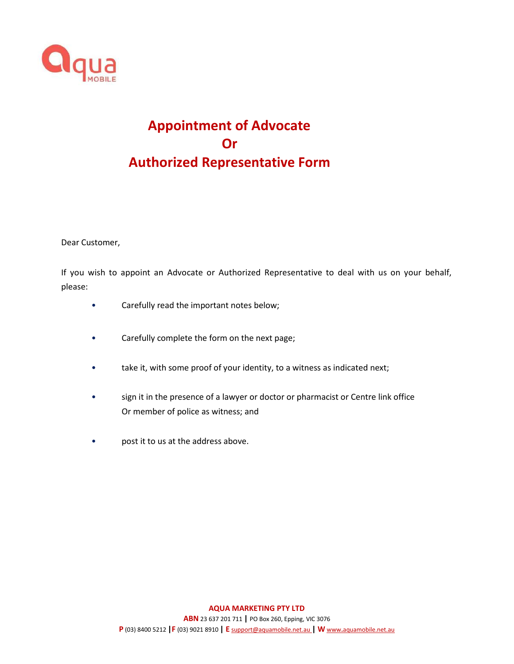

## **Appointment of Advocate Or Authorized Representative Form**

Dear Customer,

If you wish to appoint an Advocate or Authorized Representative to deal with us on your behalf, please:

- Carefully read the important notes below;
- Carefully complete the form on the next page;
- take it, with some proof of your identity, to a witness as indicated next;
- sign it in the presence of a lawyer or doctor or pharmacist or Centre link office Or member of police as witness; and
- post it to us at the address above.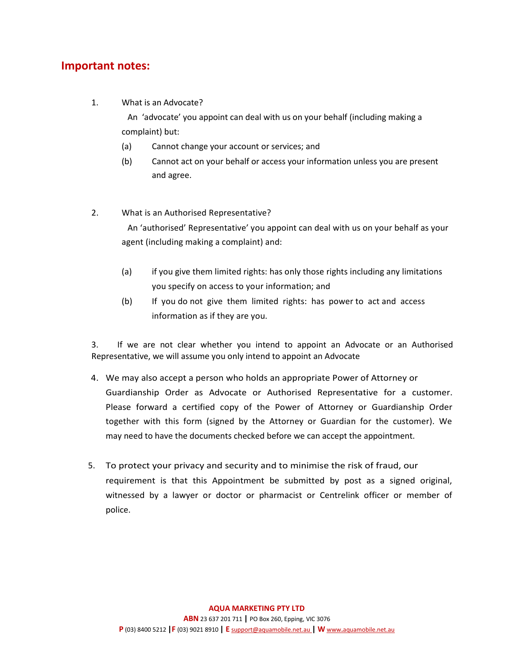## **Important notes:**

1. What is an Advocate?

An 'advocate' you appoint can deal with us on your behalf (including making a complaint) but:

- (a) Cannot change your account or services; and
- (b) Cannot act on your behalf or access your information unless you are present and agree.
- 2. What is an Authorised Representative?

An 'authorised' Representative' you appoint can deal with us on your behalf as your agent (including making a complaint) and:

- (a) if you give them limited rights: has only those rights including any limitations you specify on access to your information; and
- (b) If you do not give them limited rights: has power to act and access information as if they are you.

3. If we are not clear whether you intend to appoint an Advocate or an Authorised Representative, we will assume you only intend to appoint an Advocate

- 4. We may also accept a person who holds an appropriate Power of Attorney or Guardianship Order as Advocate or Authorised Representative for a customer. Please forward a certified copy of the Power of Attorney or Guardianship Order together with this form (signed by the Attorney or Guardian for the customer). We may need to have the documents checked before we can accept the appointment.
- 5. To protect your privacy and security and to minimise the risk of fraud, our requirement is that this Appointment be submitted by post as a signed original, witnessed by a lawyer or doctor or pharmacist or Centrelink officer or member of police.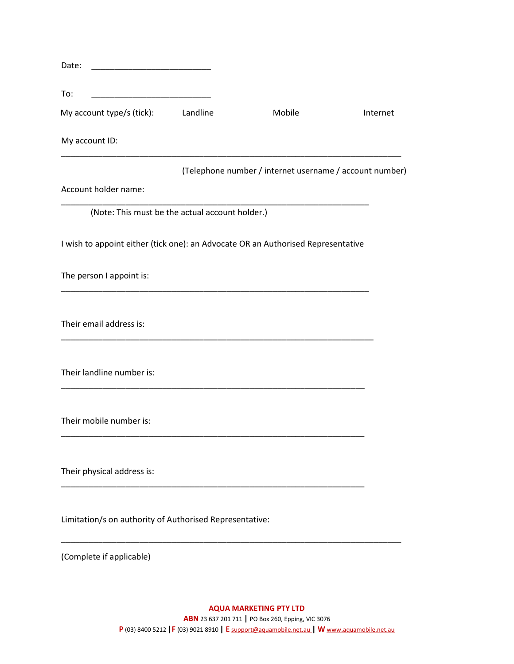| Date:<br><u> 1989 - Johann Stoff, mars et al. (</u>                                                                          |          |                                                         |          |
|------------------------------------------------------------------------------------------------------------------------------|----------|---------------------------------------------------------|----------|
| To:<br><u> 1990 - Johann Stoff, mars and de Branch and de Branch and de Branch and de Branch and de Branch and de Branch</u> |          |                                                         |          |
| My account type/s (tick):                                                                                                    | Landline | Mobile                                                  | Internet |
| My account ID:                                                                                                               |          |                                                         |          |
|                                                                                                                              |          | (Telephone number / internet username / account number) |          |
| Account holder name:                                                                                                         |          |                                                         |          |
| (Note: This must be the actual account holder.)                                                                              |          |                                                         |          |
| I wish to appoint either (tick one): an Advocate OR an Authorised Representative                                             |          |                                                         |          |
| The person I appoint is:                                                                                                     |          |                                                         |          |
| Their email address is:                                                                                                      |          |                                                         |          |
| Their landline number is:                                                                                                    |          |                                                         |          |
| Their mobile number is:                                                                                                      |          |                                                         |          |
| Their physical address is:                                                                                                   |          |                                                         |          |
| Limitation/s on authority of Authorised Representative:                                                                      |          |                                                         |          |
|                                                                                                                              |          |                                                         |          |

(Complete if applicable)

**AQUA MARKETING PTY LTD ABN** 23 637 201 711 **|** PO Box 260, Epping, VIC 3076 **P** (03) 8400 5212 **|F** (03) 9021 8910 **| E** [support@aquamobile.net.au](mailto:support@aquamobile.net.au) **| W** www**.**[aquamobile.net.au](http://www.aquamobile.net.au/)